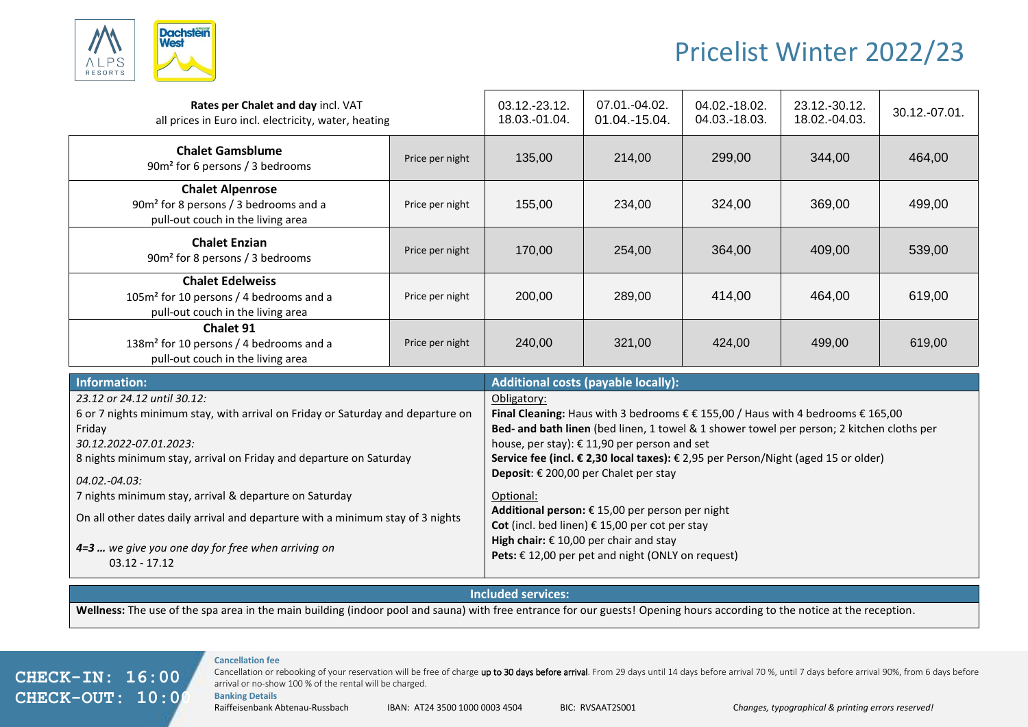

# Pricelist Winter 2022/23

| Rates per Chalet and day incl. VAT<br>all prices in Euro incl. electricity, water, heating                          |                 | $03.12 - 23.12$ .<br>18.03.-01.04. | $07.01 - 04.02$ .<br>01.04.-15.04. | 04.02.-18.02.<br>04.03.-18.03. | 23.12.-30.12.<br>18.02.-04.03. | 30.12.-07.01. |
|---------------------------------------------------------------------------------------------------------------------|-----------------|------------------------------------|------------------------------------|--------------------------------|--------------------------------|---------------|
| <b>Chalet Gamsblume</b><br>90m <sup>2</sup> for 6 persons / 3 bedrooms                                              | Price per night | 135,00                             | 214,00                             | 299,00                         | 344,00                         | 464,00        |
| <b>Chalet Alpenrose</b><br>90m <sup>2</sup> for 8 persons / 3 bedrooms and a<br>pull-out couch in the living area   | Price per night | 155,00                             | 234,00                             | 324,00                         | 369,00                         | 499,00        |
| <b>Chalet Enzian</b><br>90m <sup>2</sup> for 8 persons / 3 bedrooms                                                 | Price per night | 170,00                             | 254,00                             | 364,00                         | 409,00                         | 539,00        |
| <b>Chalet Edelweiss</b><br>105m <sup>2</sup> for 10 persons / 4 bedrooms and a<br>pull-out couch in the living area | Price per night | 200,00                             | 289,00                             | 414,00                         | 464,00                         | 619,00        |
| <b>Chalet 91</b><br>138m <sup>2</sup> for 10 persons / 4 bedrooms and a<br>pull-out couch in the living area        | Price per night | 240,00                             | 321,00                             | 424,00                         | 499,00                         | 619,00        |

| Information:                                                                    | <b>Additional costs (payable locally):</b>                                                                          |  |  |  |
|---------------------------------------------------------------------------------|---------------------------------------------------------------------------------------------------------------------|--|--|--|
| 23.12 or 24.12 until 30.12:                                                     | Obligatory:                                                                                                         |  |  |  |
| 6 or 7 nights minimum stay, with arrival on Friday or Saturday and departure on | Final Cleaning: Haus with 3 bedrooms $\epsilon \epsilon$ 155,00 / Haus with 4 bedrooms $\epsilon$ 165,00            |  |  |  |
| Friday                                                                          | Bed- and bath linen (bed linen, 1 towel & 1 shower towel per person; 2 kitchen cloths per                           |  |  |  |
| 30.12.2022-07.01.2023:                                                          | house, per stay): € 11,90 per person and set                                                                        |  |  |  |
| 8 nights minimum stay, arrival on Friday and departure on Saturday              | Service fee (incl. € 2,30 local taxes): € 2,95 per Person/Night (aged 15 or older)                                  |  |  |  |
| 04.02.-04.03:                                                                   | <b>Deposit:</b> $\epsilon$ 200,00 per Chalet per stay                                                               |  |  |  |
| 7 nights minimum stay, arrival & departure on Saturday                          | Optional:                                                                                                           |  |  |  |
| On all other dates daily arrival and departure with a minimum stay of 3 nights  | Additional person: $\epsilon$ 15,00 per person per night<br>Cot (incl. bed linen) $\epsilon$ 15,00 per cot per stay |  |  |  |
| 4=3  we give you one day for free when arriving on<br>$03.12 - 17.12$           | High chair: $\epsilon$ 10,00 per chair and stay<br>Pets: $€ 12,00$ per pet and night (ONLY on request)              |  |  |  |

### **Included services:**

Wellness: The use of the spa area in the main building (indoor pool and sauna) with free entrance for our guests! Opening hours according to the notice at the reception.

## **CHECK-IN: 16:00 CHECK-OUT: 10:00**

#### **Cancellation fee**

Cancellation or rebooking of your reservation will be free of charge up to 30 days before arrival. From 29 days until 14 days before arrival 70 %, until 7 days before arrival 90%, from 6 days before arrival or no-show 100 % of the rental will be charged.

**Banking Details**

Raiffeisenbank Abtenau-Russbach IBAN: AT24 3500 1000 0003 4504 BIC: RVSAAT2S001 C*hanges, typographical & printing errors reserved!*